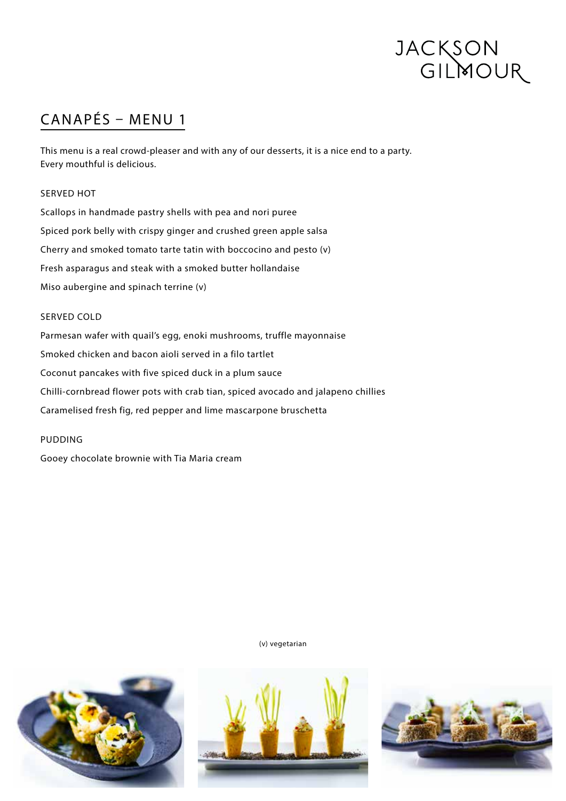# JACKSON<br>GILMOUR

# CANAPÉS – MENU 1

This menu is a real crowd-pleaser and with any of our desserts, it is a nice end to a party. Every mouthful is delicious.

## SERVED HOT

Scallops in handmade pastry shells with pea and nori puree Spiced pork belly with crispy ginger and crushed green apple salsa Cherry and smoked tomato tarte tatin with boccocino and pesto (v) Fresh asparagus and steak with a smoked butter hollandaise Miso aubergine and spinach terrine (v)

### SERVED COLD

Parmesan wafer with quail's egg, enoki mushrooms, truffle mayonnaise Smoked chicken and bacon aioli served in a filo tartlet Coconut pancakes with five spiced duck in a plum sauce Chilli-cornbread flower pots with crab tian, spiced avocado and jalapeno chillies Caramelised fresh fig, red pepper and lime mascarpone bruschetta

### PUDDING

Gooey chocolate brownie with Tia Maria cream

(v) vegetarian





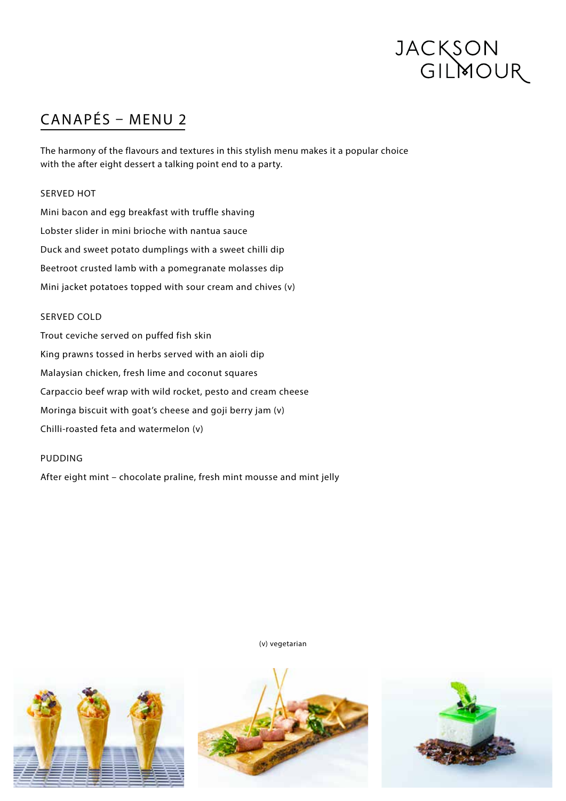# JACKSON<br>GILMOUR

# CANAPÉS – MENU 2

The harmony of the flavours and textures in this stylish menu makes it a popular choice with the after eight dessert a talking point end to a party.

## SERVED HOT

Mini bacon and egg breakfast with truffle shaving Lobster slider in mini brioche with nantua sauce Duck and sweet potato dumplings with a sweet chilli dip Beetroot crusted lamb with a pomegranate molasses dip Mini jacket potatoes topped with sour cream and chives (v)

## SERVED COLD

Trout ceviche served on puffed fish skin King prawns tossed in herbs served with an aioli dip Malaysian chicken, fresh lime and coconut squares Carpaccio beef wrap with wild rocket, pesto and cream cheese Moringa biscuit with goat's cheese and goji berry jam (v) Chilli-roasted feta and watermelon (v)

### PUDDING

After eight mint – chocolate praline, fresh mint mousse and mint jelly

(v) vegetarian